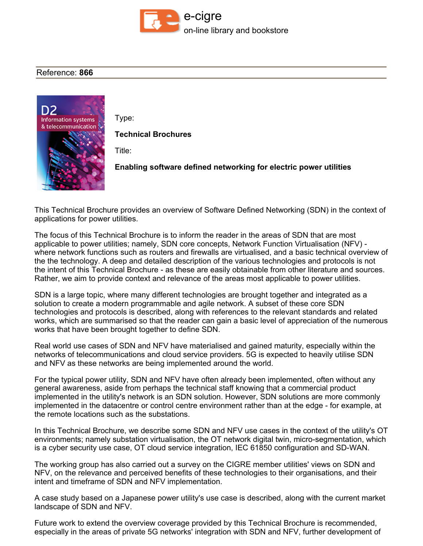

## **Reference: 866**



**Type:**

**Technical Brochures**

**Title:**

**Enabling software defined networking for electric power utilities**

**This Technical Brochure provides an overview of Software Defined Networking (SDN) in the context of applications for power utilities.**

The focus of this Technical Brochure is to inform the reader in the areas of SDN that are most **applicable to power utilities; namely, SDN core concepts, Network Function Virtualisation (NFV) where network functions such as routers and firewalls are virtualised, and a basic technical overview of the the technology. A deep and detailed description of the various technologies and protocols is not the intent of this Technical Brochure - as these are easily obtainable from other literature and sources. Rather, we aim to provide context and relevance of the areas most applicable to power utilities.**

**SDN is a large topic, where many different technologies are brought together and integrated as a solution to create a modern programmable and agile network. A subset of these core SDN technologies and protocols is described, along with references to the relevant standards and related** works, which are summarised so that the reader can gain a basic level of appreciation of the numerous **works that have been brought together to define SDN.**

**Real world use cases of SDN and NFV have materialised and gained maturity, especially within the networks of telecommunications and cloud service providers. 5G is expected to heavily utilise SDN and NFV as these networks are being implemented around the world.**

**For the typical power utility, SDN and NFV have often already been implemented, often without any general awareness, aside from perhaps the technical staff knowing that a commercial product implemented in the utility's network is an SDN solution. However, SDN solutions are more commonly implemented in the datacentre or control centre environment rather than at the edge - for example, at the remote locations such as the substations.**

In this Technical Brochure, we describe some SDN and NFV use cases in the context of the utility's OT **environments; namely substation virtualisation, the OT network digital twin, micro-segmentation, which is a cyber security use case, OT cloud service integration, IEC 61850 configuration and SD-WAN.**

**The working group has also carried out a survey on the CIGRE member utilities' views on SDN and NFV, on the relevance and perceived benefits of these technologies to their organisations, and their intent and timeframe of SDN and NFV implementation.**

A case study based on a Japanese power utility's use case is described, along with the current market **landscape of SDN and NFV.**

**Future work to extend the overview coverage provided by this Technical Brochure is recommended, especially in the areas of private 5G networks' integration with SDN and NFV, further development of**